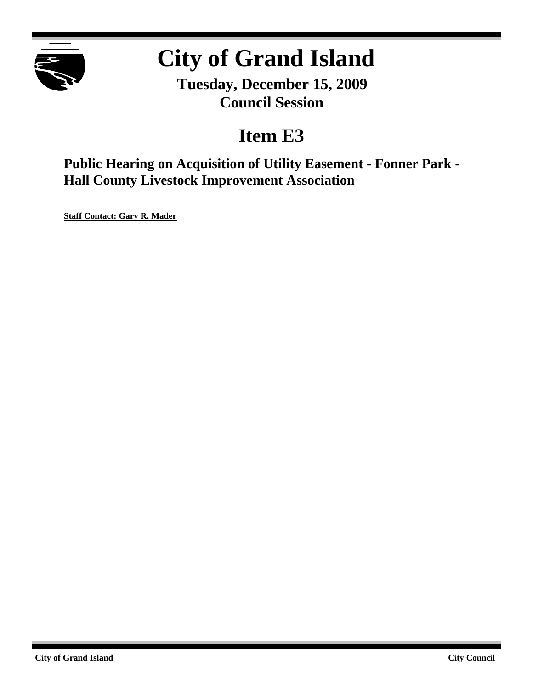

# **City of Grand Island**

**Tuesday, December 15, 2009 Council Session**

# **Item E3**

**Public Hearing on Acquisition of Utility Easement - Fonner Park - Hall County Livestock Improvement Association**

**Staff Contact: Gary R. Mader**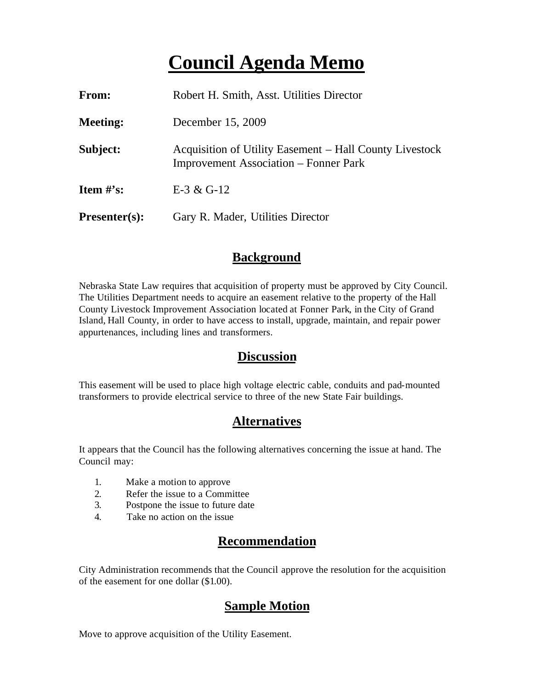# **Council Agenda Memo**

| <b>From:</b>                   | Robert H. Smith, Asst. Utilities Director                                                               |
|--------------------------------|---------------------------------------------------------------------------------------------------------|
| <b>Meeting:</b>                | December 15, 2009                                                                                       |
| Subject:                       | Acquisition of Utility Easement – Hall County Livestock<br><b>Improvement Association – Fonner Park</b> |
| <b>Item <math>\#</math>'s:</b> | E-3 & G-12                                                                                              |
| $Presenter(s):$                | Gary R. Mader, Utilities Director                                                                       |

## **Background**

Nebraska State Law requires that acquisition of property must be approved by City Council. The Utilities Department needs to acquire an easement relative to the property of the Hall County Livestock Improvement Association located at Fonner Park, in the City of Grand Island, Hall County, in order to have access to install, upgrade, maintain, and repair power appurtenances, including lines and transformers.

#### **Discussion**

This easement will be used to place high voltage electric cable, conduits and pad-mounted transformers to provide electrical service to three of the new State Fair buildings.

## **Alternatives**

It appears that the Council has the following alternatives concerning the issue at hand. The Council may:

- 1. Make a motion to approve
- 2. Refer the issue to a Committee
- 3. Postpone the issue to future date
- 4. Take no action on the issue

# **Recommendation**

City Administration recommends that the Council approve the resolution for the acquisition of the easement for one dollar (\$1.00).

## **Sample Motion**

Move to approve acquisition of the Utility Easement.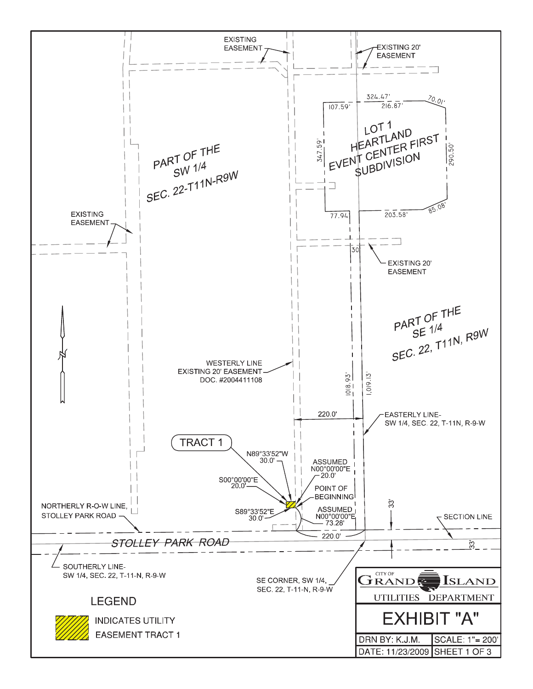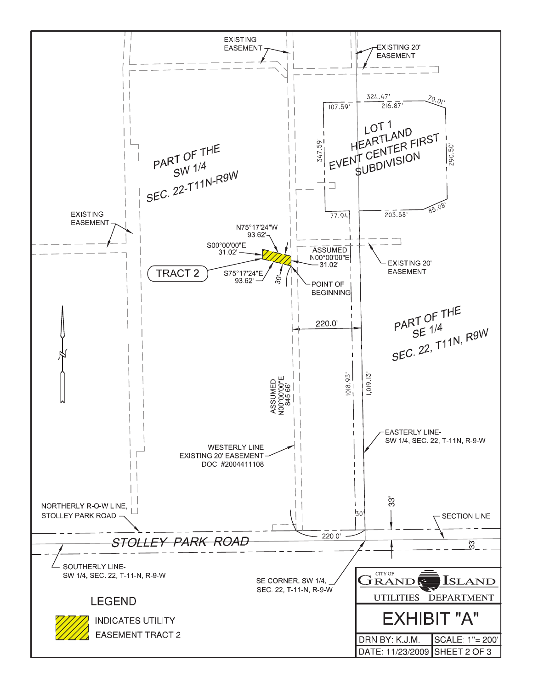